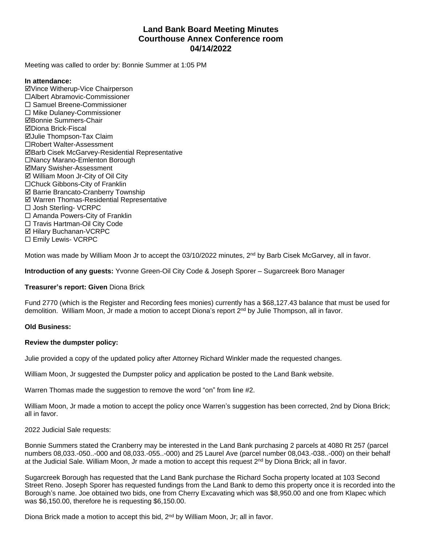# **Land Bank Board Meeting Minutes Courthouse Annex Conference room 04/14/2022**

Meeting was called to order by: Bonnie Summer at 1:05 PM

### **In attendance:**

þVince Witherup-Vice Chairperson ¨Albert Abramovic-Commissioner ¨ Samuel Breene-Commissioner  $\square$  Mike Dulaney-Commissioner þBonnie Summers-Chair þDiona Brick-Fiscal **ØJulie Thompson-Tax Claim** □Robert Walter-Assessment þBarb Cisek McGarvey-Residential Representative □Nancy Marano-Emlenton Borough þMary Swisher-Assessment  $\boxtimes$  William Moon Jr-City of Oil City □Chuck Gibbons-City of Franklin **Ø Barrie Brancato-Cranberry Township**  $\boxtimes$  Warren Thomas-Residential Representative □ Josh Sterling- VCRPC  $\square$  Amanda Powers-City of Franklin □ Travis Hartman-Oil City Code **Ø Hilary Buchanan-VCRPC** □ Emily Lewis- VCRPC

Motion was made by William Moon Jr to accept the 03/10/2022 minutes, 2<sup>nd</sup> by Barb Cisek McGarvey, all in favor.

**Introduction of any guests:** Yvonne Green-Oil City Code & Joseph Sporer – Sugarcreek Boro Manager

## **Treasurer's report: Given** Diona Brick

Fund 2770 (which is the Register and Recording fees monies) currently has a \$68,127.43 balance that must be used for demolition. William Moon, Jr made a motion to accept Diona's report 2<sup>nd</sup> by Julie Thompson, all in favor.

## **Old Business:**

#### **Review the dumpster policy:**

Julie provided a copy of the updated policy after Attorney Richard Winkler made the requested changes.

William Moon, Jr suggested the Dumpster policy and application be posted to the Land Bank website.

Warren Thomas made the suggestion to remove the word "on" from line #2.

William Moon, Jr made a motion to accept the policy once Warren's suggestion has been corrected, 2nd by Diona Brick; all in favor.

#### 2022 Judicial Sale requests:

Bonnie Summers stated the Cranberry may be interested in the Land Bank purchasing 2 parcels at 4080 Rt 257 (parcel numbers 08,033.-050..-000 and 08,033.-055..-000) and 25 Laurel Ave (parcel number 08,043.-038..-000) on their behalf at the Judicial Sale. William Moon, Jr made a motion to accept this request 2<sup>nd</sup> by Diona Brick; all in favor.

Sugarcreek Borough has requested that the Land Bank purchase the Richard Socha property located at 103 Second Street Reno. Joseph Sporer has requested fundings from the Land Bank to demo this property once it is recorded into the Borough's name. Joe obtained two bids, one from Cherry Excavating which was \$8,950.00 and one from Klapec which was \$6,150.00, therefore he is requesting \$6,150.00.

Diona Brick made a motion to accept this bid,  $2<sup>nd</sup>$  by William Moon, Jr; all in favor.